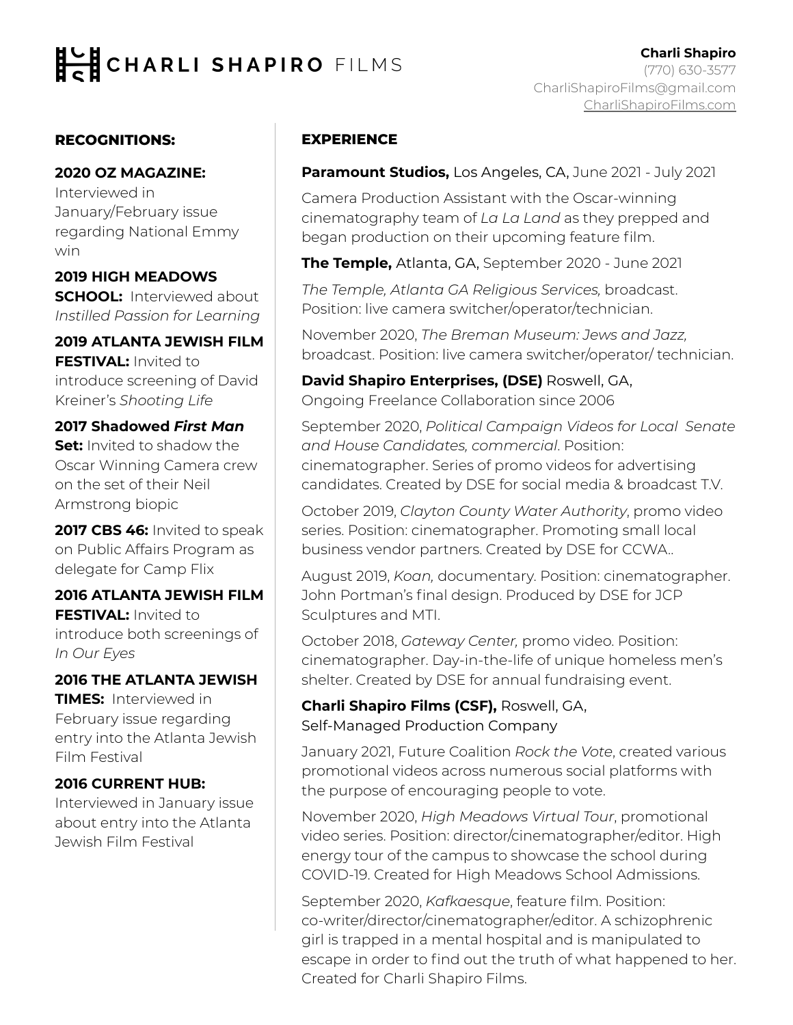# CHARLI SHAPIRO FILMS

### **RECOGNITIONS:**

#### **2020 OZ MAGAZINE:**

Interviewed in January/February issue regarding National Emmy win

### **2019 HIGH MEADOWS**

**SCHOOL:** Interviewed about *Instilled Passion for Learning*

## **2019 ATLANTA JEWISH FILM**

**FESTIVAL:** Invited to introduce screening of David Kreiner's *Shooting Life*

### **2017 Shadowed** *First Man*

**Set:** Invited to shadow the Oscar Winning Camera crew on the set of their Neil Armstrong biopic

**2017 CBS 46:** Invited to speak on Public Affairs Program as delegate for Camp Flix

### **2016 ATLANTA JEWISH FILM FESTIVAL:** Invited to introduce both screenings of *In Our Eyes*

### **2016 THE ATLANTA JEWISH**

**TIMES:** Interviewed in February issue regarding entry into the Atlanta Jewish Film Festival

### **2016 CURRENT HUB:**

Interviewed in January issue about entry into the Atlanta Jewish Film Festival

### **EXPERIENCE**

**Paramount Studios,** Los Angeles, CA, June 2021 - July 2021

Camera Production Assistant with the Oscar-winning cinematography team of *La La Land* as they prepped and began production on their upcoming feature film.

**The Temple,** Atlanta, GA, September 2020 - June 2021

*The Temple, Atlanta GA Religious Services,* broadcast. Position: live camera switcher/operator/technician.

November 2020, *The Breman Museum: Jews and Jazz,*  broadcast. Position: live camera switcher/operator/ technician.

**David Shapiro Enterprises, (DSE)** Roswell, GA, Ongoing Freelance Collaboration since 2006

September 2020, *Political Campaign Videos for Local Senate and House Candidates, commercial*. Position: cinematographer. Series of promo videos for advertising candidates. Created by DSE for social media & broadcast T.V.

October 2019, *Clayton County Water Authority*, promo video series. Position: cinematographer. Promoting small local business vendor partners. Created by DSE for CCWA..

August 2019, *Koan,* documentary. Position: cinematographer. John Portman's final design. Produced by DSE for JCP Sculptures and MTI.

October 2018, *Gateway Center,* promo video. Position: cinematographer. Day-in-the-life of unique homeless men's shelter. Created by DSE for annual fundraising event.

**Charli Shapiro Films (CSF),** Roswell, GA, Self-Managed Production Company

January 2021, Future Coalition *Rock the Vote*, created various promotional videos across numerous social platforms with the purpose of encouraging people to vote.

November 2020, *High Meadows Virtual Tour*, promotional video series. Position: director/cinematographer/editor. High energy tour of the campus to showcase the school during COVID-19. Created for High Meadows School Admissions.

September 2020, *Kafkaesque*, feature film. Position: co-writer/director/cinematographer/editor. A schizophrenic girl is trapped in a mental hospital and is manipulated to escape in order to find out the truth of what happened to her. Created for Charli Shapiro Films.